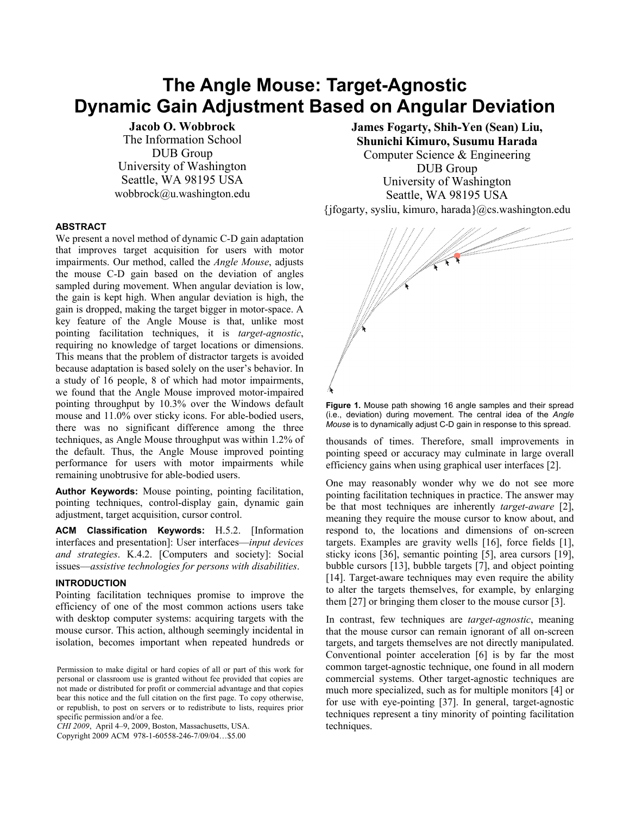# **The Angle Mouse: Target-Agnostic Dynamic Gain Adjustment Based on Angular Deviation**

**Jacob O. Wobbrock** The Information School DUB Group University of Washington Seattle, WA 98195 USA wobbrock@u.washington.edu

# **ABSTRACT**

We present a novel method of dynamic C-D gain adaptation that improves target acquisition for users with motor impairments. Our method, called the *Angle Mouse*, adjusts the mouse C-D gain based on the deviation of angles sampled during movement. When angular deviation is low, the gain is kept high. When angular deviation is high, the gain is dropped, making the target bigger in motor-space. A key feature of the Angle Mouse is that, unlike most pointing facilitation techniques, it is *target-agnostic*, requiring no knowledge of target locations or dimensions. This means that the problem of distractor targets is avoided because adaptation is based solely on the user's behavior. In a study of 16 people, 8 of which had motor impairments, we found that the Angle Mouse improved motor-impaired pointing throughput by 10.3% over the Windows default mouse and 11.0% over sticky icons. For able-bodied users, there was no significant difference among the three techniques, as Angle Mouse throughput was within 1.2% of the default. Thus, the Angle Mouse improved pointing performance for users with motor impairments while remaining unobtrusive for able-bodied users.

**Author Keywords:** Mouse pointing, pointing facilitation, pointing techniques, control-display gain, dynamic gain adjustment, target acquisition, cursor control.

**ACM Classification Keywords:** H.5.2. [Information interfaces and presentation]: User interfaces—*input devices and strategies*. K.4.2. [Computers and society]: Social issues—*assistive technologies for persons with disabilities*.

# **INTRODUCTION**

Pointing facilitation techniques promise to improve the efficiency of one of the most common actions users take with desktop computer systems: acquiring targets with the mouse cursor. This action, although seemingly incidental in isolation, becomes important when repeated hundreds or

*CHI 2009*, April 4–9, 2009, Boston, Massachusetts, USA.

Copyright 2009 ACM 978-1-60558-246-7/09/04…\$5.00

**James Fogarty, Shih-Yen (Sean) Liu, Shunichi Kimuro, Susumu Harada**  Computer Science & Engineering DUB Group University of Washington Seattle, WA 98195 USA

{jfogarty, sysliu, kimuro, harada}@cs.washington.edu



**Figure 1.** Mouse path showing 16 angle samples and their spread (i.e., deviation) during movement. The central idea of the *Angle Mouse* is to dynamically adjust C-D gain in response to this spread.

thousands of times. Therefore, small improvements in pointing speed or accuracy may culminate in large overall efficiency gains when using graphical user interfaces [2].

One may reasonably wonder why we do not see more pointing facilitation techniques in practice. The answer may be that most techniques are inherently *target-aware* [2], meaning they require the mouse cursor to know about, and respond to, the locations and dimensions of on-screen targets. Examples are gravity wells [16], force fields [1], sticky icons [36], semantic pointing [5], area cursors [19], bubble cursors [13], bubble targets [7], and object pointing [14]. Target-aware techniques may even require the ability to alter the targets themselves, for example, by enlarging them [27] or bringing them closer to the mouse cursor [3].

In contrast, few techniques are *target-agnostic*, meaning that the mouse cursor can remain ignorant of all on-screen targets, and targets themselves are not directly manipulated. Conventional pointer acceleration [6] is by far the most common target-agnostic technique, one found in all modern commercial systems. Other target-agnostic techniques are much more specialized, such as for multiple monitors [4] or for use with eye-pointing [37]. In general, target-agnostic techniques represent a tiny minority of pointing facilitation techniques.

Permission to make digital or hard copies of all or part of this work for personal or classroom use is granted without fee provided that copies are not made or distributed for profit or commercial advantage and that copies bear this notice and the full citation on the first page. To copy otherwise, or republish, to post on servers or to redistribute to lists, requires prior specific permission and/or a fee.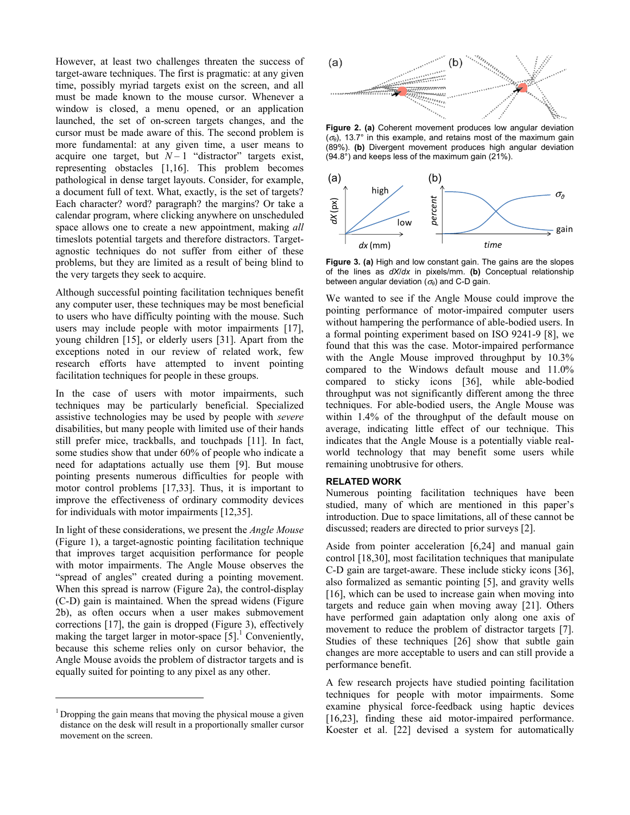However, at least two challenges threaten the success of target-aware techniques. The first is pragmatic: at any given time, possibly myriad targets exist on the screen, and all must be made known to the mouse cursor. Whenever a window is closed, a menu opened, or an application launched, the set of on-screen targets changes, and the cursor must be made aware of this. The second problem is more fundamental: at any given time, a user means to acquire one target, but  $N-1$  "distractor" targets exist, representing obstacles [1,16]. This problem becomes pathological in dense target layouts. Consider, for example, a document full of text. What, exactly, is the set of targets? Each character? word? paragraph? the margins? Or take a calendar program, where clicking anywhere on unscheduled space allows one to create a new appointment, making *all* timeslots potential targets and therefore distractors. Targetagnostic techniques do not suffer from either of these problems, but they are limited as a result of being blind to the very targets they seek to acquire.

Although successful pointing facilitation techniques benefit any computer user, these techniques may be most beneficial to users who have difficulty pointing with the mouse. Such users may include people with motor impairments [17], young children [15], or elderly users [31]. Apart from the exceptions noted in our review of related work, few research efforts have attempted to invent pointing facilitation techniques for people in these groups.

In the case of users with motor impairments, such techniques may be particularly beneficial. Specialized assistive technologies may be used by people with *severe* disabilities, but many people with limited use of their hands still prefer mice, trackballs, and touchpads [11]. In fact, some studies show that under 60% of people who indicate a need for adaptations actually use them [9]. But mouse pointing presents numerous difficulties for people with motor control problems [17,33]. Thus, it is important to improve the effectiveness of ordinary commodity devices for individuals with motor impairments [12,35].

In light of these considerations, we present the *Angle Mouse* (Figure 1), a target-agnostic pointing facilitation technique that improves target acquisition performance for people with motor impairments. The Angle Mouse observes the "spread of angles" created during a pointing movement. When this spread is narrow (Figure 2a), the control-display (C-D) gain is maintained. When the spread widens (Figure 2b), as often occurs when a user makes submovement corrections [17], the gain is dropped (Figure 3), effectively making the target larger in motor-space  $[5]$ <sup>1</sup> Conveniently, because this scheme relies only on cursor behavior, the Angle Mouse avoids the problem of distractor targets and is equally suited for pointing to any pixel as any other.

 $\overline{a}$ 



**Figure 2. (a)** Coherent movement produces low angular deviation  $(\sigma_{\theta})$ , 13.7° in this example, and retains most of the maximum gain (89%). **(b)** Divergent movement produces high angular deviation (94.8°) and keeps less of the maximum gain (21%).



**Figure 3. (a)** High and low constant gain. The gains are the slopes of the lines as *dX*/*dx* in pixels/mm. **(b)** Conceptual relationship between angular deviation (<sup>σ</sup>*θ*) and C-D gain.

We wanted to see if the Angle Mouse could improve the pointing performance of motor-impaired computer users without hampering the performance of able-bodied users. In a formal pointing experiment based on ISO 9241-9 [8], we found that this was the case. Motor-impaired performance with the Angle Mouse improved throughput by 10.3% compared to the Windows default mouse and 11.0% compared to sticky icons [36], while able-bodied throughput was not significantly different among the three techniques. For able-bodied users, the Angle Mouse was within 1.4% of the throughput of the default mouse on average, indicating little effect of our technique. This indicates that the Angle Mouse is a potentially viable realworld technology that may benefit some users while remaining unobtrusive for others.

# **RELATED WORK**

Numerous pointing facilitation techniques have been studied, many of which are mentioned in this paper's introduction. Due to space limitations, all of these cannot be discussed; readers are directed to prior surveys [2].

Aside from pointer acceleration [6,24] and manual gain control [18,30], most facilitation techniques that manipulate C-D gain are target-aware. These include sticky icons [36], also formalized as semantic pointing [5], and gravity wells [16], which can be used to increase gain when moving into targets and reduce gain when moving away [21]. Others have performed gain adaptation only along one axis of movement to reduce the problem of distractor targets [7]. Studies of these techniques [26] show that subtle gain changes are more acceptable to users and can still provide a performance benefit.

A few research projects have studied pointing facilitation techniques for people with motor impairments. Some examine physical force-feedback using haptic devices [16,23], finding these aid motor-impaired performance. Koester et al. [22] devised a system for automatically

<sup>&</sup>lt;sup>1</sup> Dropping the gain means that moving the physical mouse a given distance on the desk will result in a proportionally smaller cursor movement on the screen.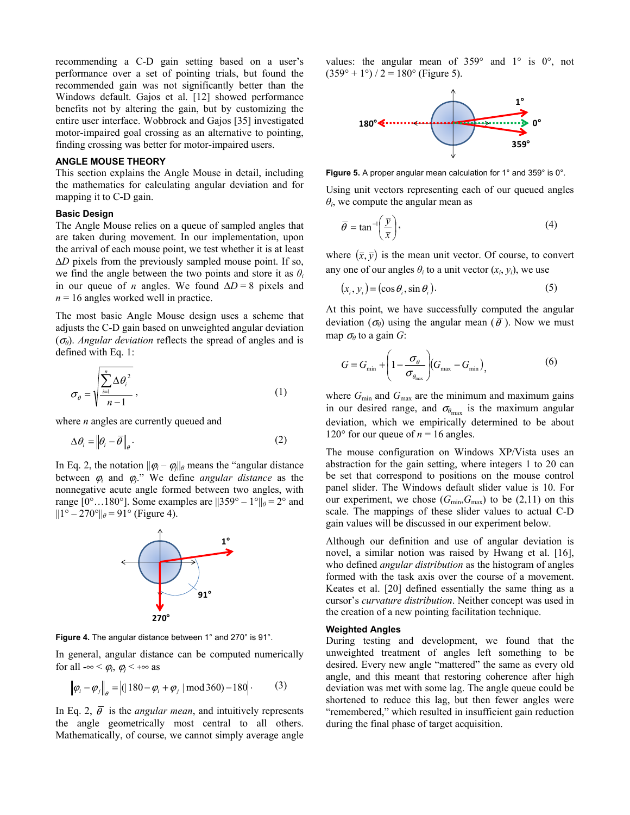recommending a C-D gain setting based on a user's performance over a set of pointing trials, but found the recommended gain was not significantly better than the Windows default. Gajos et al. [12] showed performance benefits not by altering the gain, but by customizing the entire user interface. Wobbrock and Gajos [35] investigated motor-impaired goal crossing as an alternative to pointing, finding crossing was better for motor-impaired users.

#### **ANGLE MOUSE THEORY**

This section explains the Angle Mouse in detail, including the mathematics for calculating angular deviation and for mapping it to C-D gain.

### **Basic Design**

The Angle Mouse relies on a queue of sampled angles that are taken during movement. In our implementation, upon the arrival of each mouse point, we test whether it is at least Δ*D* pixels from the previously sampled mouse point. If so, we find the angle between the two points and store it as  $\theta_i$ in our queue of *n* angles. We found  $\Delta D = 8$  pixels and  $n = 16$  angles worked well in practice.

The most basic Angle Mouse design uses a scheme that adjusts the C-D gain based on unweighted angular deviation (<sup>σ</sup>*θ*). *Angular deviation* reflects the spread of angles and is defined with Eq. 1:

$$
\sigma_{\theta} = \sqrt{\frac{\sum_{i=1}^{n} \Delta \theta_i^2}{n-1}},
$$
\n(1)

where *n* angles are currently queued and

$$
\Delta \theta_i = \left\| \theta_i - \overline{\theta} \right\|_{\theta}.
$$
 (2)

In Eq. 2, the notation  $||\varphi_i - \varphi_i||_{\theta}$  means the "angular distance" between  $\varphi_i$  and  $\varphi_j$ ." We define *angular distance* as the nonnegative acute angle formed between two angles, with range  $[0^\circ \dots 180^\circ]$ . Some examples are  $||359^\circ - 1^\circ||_\theta = 2^\circ$  and  $||1^{\circ} - 270^{\circ}||_{\theta} = 91^{\circ}$  (Figure 4).



**Figure 4.** The angular distance between 1° and 270° is 91°.

In general, angular distance can be computed numerically for all  $-\infty < \varphi_i$ ,  $\varphi_i < +\infty$  as

$$
\left\|\varphi_i - \varphi_j\right\|_{\theta} = \left| (180 - \varphi_i + \varphi_j) \mod 360 - 180 \right|.
$$
 (3)

In Eq. 2,  $\bar{\theta}$  is the *angular mean*, and intuitively represents the angle geometrically most central to all others. Mathematically, of course, we cannot simply average angle values: the angular mean of 359° and 1° is 0°, not  $(359^{\circ} + 1^{\circ}) / 2 = 180^{\circ}$  (Figure 5).



**Figure 5.** A proper angular mean calculation for 1° and 359° is 0°.

Using unit vectors representing each of our queued angles  $\theta$ <sup>*i*</sup>, we compute the angular mean as

$$
\overline{\theta} = \tan^{-1}\left(\frac{\overline{y}}{\overline{x}}\right),\tag{4}
$$

where  $(\bar{x}, \bar{y})$  is the mean unit vector. Of course, to convert any one of our angles  $\theta_i$  to a unit vector  $(x_i, y_i)$ , we use

$$
(x_i, y_i) = (\cos \theta_i, \sin \theta_i). \tag{5}
$$

At this point, we have successfully computed the angular deviation ( $\sigma_{\theta}$ ) using the angular mean ( $\bar{\theta}$ ). Now we must map  $\sigma_{\theta}$  to a gain *G*:

$$
G = G_{\min} + \left(1 - \frac{\sigma_{\theta}}{\sigma_{\theta_{\max}}}\right) (G_{\max} - G_{\min}), \tag{6}
$$

where  $G_{\text{min}}$  and  $G_{\text{max}}$  are the minimum and maximum gains in our desired range, and  $\sigma_{\theta_{\text{max}}}$  is the maximum angular deviation, which we empirically determined to be about 120 $\degree$  for our queue of  $n = 16$  angles.

The mouse configuration on Windows XP/Vista uses an abstraction for the gain setting, where integers 1 to 20 can be set that correspond to positions on the mouse control panel slider. The Windows default slider value is 10. For our experiment, we chose  $(G_{min}, G_{max})$  to be  $(2,11)$  on this scale. The mappings of these slider values to actual C-D gain values will be discussed in our experiment below.

Although our definition and use of angular deviation is novel, a similar notion was raised by Hwang et al. [16], who defined *angular distribution* as the histogram of angles formed with the task axis over the course of a movement. Keates et al. [20] defined essentially the same thing as a cursor's *curvature distribution*. Neither concept was used in the creation of a new pointing facilitation technique.

#### **Weighted Angles**

During testing and development, we found that the unweighted treatment of angles left something to be desired. Every new angle "mattered" the same as every old angle, and this meant that restoring coherence after high deviation was met with some lag. The angle queue could be shortened to reduce this lag, but then fewer angles were "remembered," which resulted in insufficient gain reduction during the final phase of target acquisition.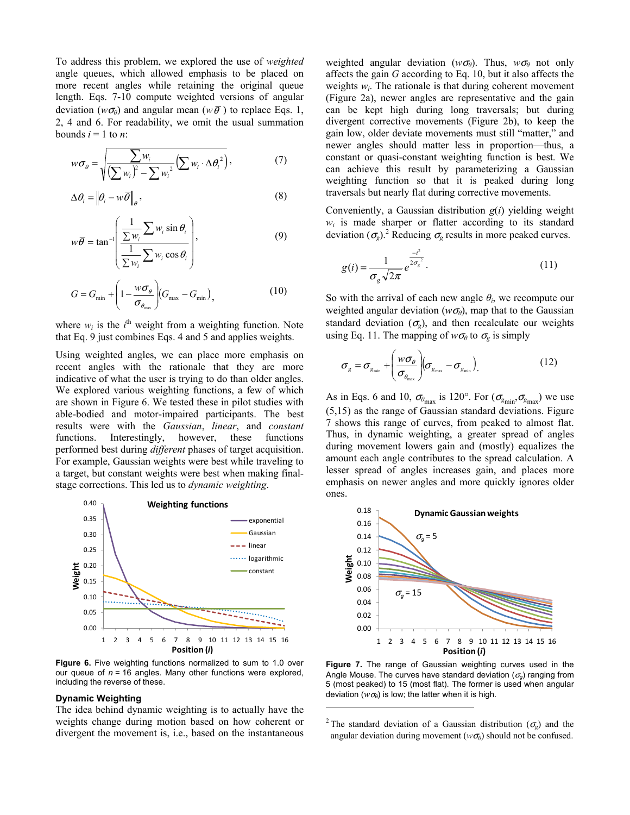To address this problem, we explored the use of *weighted* angle queues, which allowed emphasis to be placed on more recent angles while retaining the original queue length. Eqs. 7-10 compute weighted versions of angular deviation ( $w\sigma_{\theta}$ ) and angular mean ( $w\bar{\theta}$ ) to replace Eqs. 1, 2, 4 and 6. For readability, we omit the usual summation bounds  $i = 1$  to *n*:

$$
w\sigma_{\theta} = \sqrt{\frac{\sum w_i}{\left(\sum w_i\right)^2 - \sum w_i^2} \left(\sum w_i \cdot \Delta \theta_i^2\right)},\tag{7}
$$

$$
\Delta \theta_i = \left\| \theta_i - w \overline{\theta} \right\|_{\theta},\tag{8}
$$

$$
w\overline{\theta} = \tan^{-1}\left(\frac{\frac{1}{\sum w_i} \sum w_i \sin \theta_i}{\frac{1}{\sum w_i} \sum w_i \cos \theta_i}\right),
$$
 (9)

$$
G = G_{\min} + \left(1 - \frac{w\sigma_{\theta}}{\sigma_{\theta_{\max}}}\right) (G_{\max} - G_{\min}),
$$
 (10)

where  $w_i$  is the  $i^{\text{th}}$  weight from a weighting function. Note that Eq. 9 just combines Eqs. 4 and 5 and applies weights.

Using weighted angles, we can place more emphasis on recent angles with the rationale that they are more indicative of what the user is trying to do than older angles. We explored various weighting functions, a few of which are shown in Figure 6. We tested these in pilot studies with able-bodied and motor-impaired participants. The best results were with the *Gaussian*, *linear*, and *constant* functions. Interestingly, however, these functions performed best during *different* phases of target acquisition. For example, Gaussian weights were best while traveling to a target, but constant weights were best when making finalstage corrections. This led us to *dynamic weighting*.



**Figure 6.** Five weighting functions normalized to sum to 1.0 over our queue of *n* = 16 angles. Many other functions were explored, including the reverse of these.

#### **Dynamic Weighting**

The idea behind dynamic weighting is to actually have the weights change during motion based on how coherent or divergent the movement is, i.e., based on the instantaneous

weighted angular deviation ( $w\sigma_{\theta}$ ). Thus,  $w\sigma_{\theta}$  not only affects the gain *G* according to Eq. 10, but it also affects the weights  $w_i$ . The rationale is that during coherent movement (Figure 2a), newer angles are representative and the gain can be kept high during long traversals; but during divergent corrective movements (Figure 2b), to keep the gain low, older deviate movements must still "matter," and newer angles should matter less in proportion—thus, a constant or quasi-constant weighting function is best. We can achieve this result by parameterizing a Gaussian weighting function so that it is peaked during long traversals but nearly flat during corrective movements.

Conveniently, a Gaussian distribution *g*(*i*) yielding weight  $w_i$  is made sharper or flatter according to its standard deviation  $(\sigma_g)$ <sup>2</sup> Reducing  $\sigma_g$  results in more peaked curves.

$$
g(i) = \frac{1}{\sigma_g \sqrt{2\pi}} e^{\frac{-i^2}{2\sigma_g^2}}.
$$
 (11)

So with the arrival of each new angle  $\theta_i$ , we recompute our weighted angular deviation ( $w\sigma_{\theta}$ ), map that to the Gaussian standard deviation  $(\sigma_{\rm g})$ , and then recalculate our weights using Eq. 11. The mapping of  $w\sigma_\theta$  to  $\sigma_\theta$  is simply

$$
\sigma_{g} = \sigma_{g_{\min}} + \left(\frac{w\sigma_{\theta}}{\sigma_{\theta_{\max}}}\right) \left(\sigma_{g_{\max}} - \sigma_{g_{\min}}\right).
$$
 (12)

As in Eqs. 6 and 10,  $\sigma_{\theta_{\text{max}}}$  is 120°. For  $(\sigma_{g_{\text{min}}}, \sigma_{g_{\text{max}}})$  we use (5,15) as the range of Gaussian standard deviations. Figure 7 shows this range of curves, from peaked to almost flat. Thus, in dynamic weighting, a greater spread of angles during movement lowers gain and (mostly) equalizes the amount each angle contributes to the spread calculation. A lesser spread of angles increases gain, and places more emphasis on newer angles and more quickly ignores older ones.



**Figure 7.** The range of Gaussian weighting curves used in the Angle Mouse. The curves have standard deviation  $(\sigma_q)$  ranging from 5 (most peaked) to 15 (most flat). The former is used when angular deviation ( $w\sigma_{\theta}$ ) is low; the latter when it is high.

<sup>2</sup> The standard deviation of a Gaussian distribution ( $\sigma_g$ ) and the angular deviation during movement ( $w\sigma_{\theta}$ ) should not be confused.

l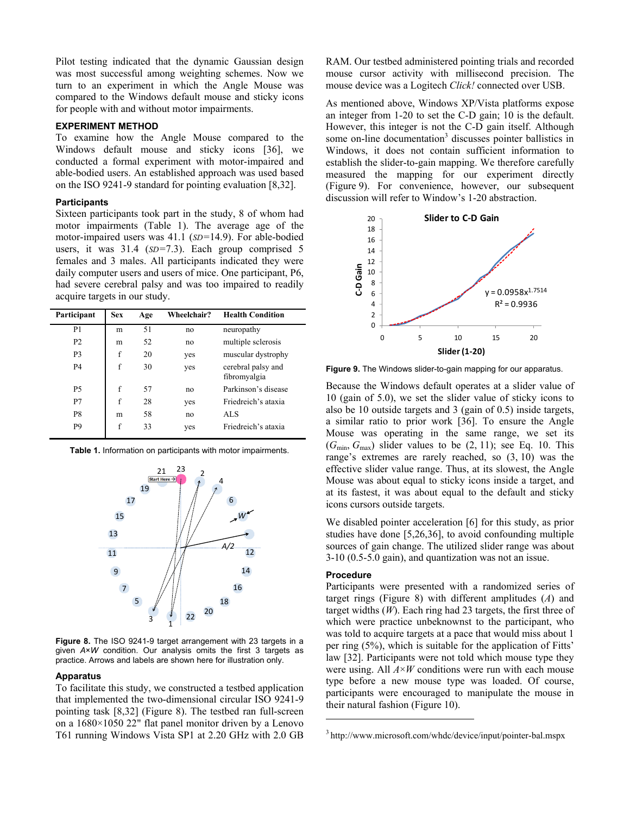Pilot testing indicated that the dynamic Gaussian design was most successful among weighting schemes. Now we turn to an experiment in which the Angle Mouse was compared to the Windows default mouse and sticky icons for people with and without motor impairments.

# **EXPERIMENT METHOD**

To examine how the Angle Mouse compared to the Windows default mouse and sticky icons [36], we conducted a formal experiment with motor-impaired and able-bodied users. An established approach was used based on the ISO 9241-9 standard for pointing evaluation [8,32].

#### **Participants**

Sixteen participants took part in the study, 8 of whom had motor impairments (Table 1). The average age of the motor-impaired users was 41.1 (*SD=*14.9). For able-bodied users, it was 31.4 (*SD=*7.3). Each group comprised 5 females and 3 males. All participants indicated they were daily computer users and users of mice. One participant, P6, had severe cerebral palsy and was too impaired to readily acquire targets in our study.

| Participant    | <b>Sex</b> | Age | Wheelchair? | <b>Health Condition</b>            |
|----------------|------------|-----|-------------|------------------------------------|
| P <sub>1</sub> | m          | 51  | no          | neuropathy                         |
| P <sub>2</sub> | m          | 52  | no          | multiple sclerosis                 |
| P <sub>3</sub> | f          | 20  | yes         | muscular dystrophy                 |
| <b>P4</b>      | f          | 30  | yes         | cerebral palsy and<br>fibromyalgia |
| <b>P5</b>      | f          | 57  | no          | Parkinson's disease                |
| P7             | f          | 28  | yes         | Friedreich's ataxia                |
| P8             | m          | 58  | no          | AL S                               |
| P <sub>9</sub> | f          | 33  | yes         | Friedreich's ataxia                |





**Figure 8.** The ISO 9241-9 target arrangement with 23 targets in a given *A*×*W* condition. Our analysis omits the first 3 targets as practice. Arrows and labels are shown here for illustration only.

#### **Apparatus**

To facilitate this study, we constructed a testbed application that implemented the two-dimensional circular ISO 9241-9 pointing task [8,32] (Figure 8). The testbed ran full-screen on a 1680×1050 22" flat panel monitor driven by a Lenovo T61 running Windows Vista SP1 at 2.20 GHz with 2.0 GB RAM. Our testbed administered pointing trials and recorded mouse cursor activity with millisecond precision. The mouse device was a Logitech *Click!* connected over USB.

As mentioned above, Windows XP/Vista platforms expose an integer from 1-20 to set the C-D gain; 10 is the default. However, this integer is not the C-D gain itself. Although some on-line documentation<sup>3</sup> discusses pointer ballistics in Windows, it does not contain sufficient information to establish the slider-to-gain mapping. We therefore carefully measured the mapping for our experiment directly (Figure 9). For convenience, however, our subsequent discussion will refer to Window's 1-20 abstraction.



**Figure 9.** The Windows slider-to-gain mapping for our apparatus.

Because the Windows default operates at a slider value of 10 (gain of 5.0), we set the slider value of sticky icons to also be 10 outside targets and 3 (gain of 0.5) inside targets, a similar ratio to prior work [36]. To ensure the Angle Mouse was operating in the same range, we set its  $(G_{\text{min}}, G_{\text{max}})$  slider values to be  $(2, 11)$ ; see Eq. 10. This range's extremes are rarely reached, so (3, 10) was the effective slider value range. Thus, at its slowest, the Angle Mouse was about equal to sticky icons inside a target, and at its fastest, it was about equal to the default and sticky icons cursors outside targets.

We disabled pointer acceleration [6] for this study, as prior studies have done [5,26,36], to avoid confounding multiple sources of gain change. The utilized slider range was about 3-10 (0.5-5.0 gain), and quantization was not an issue.

#### **Procedure**

l

Participants were presented with a randomized series of target rings (Figure 8) with different amplitudes (*A*) and target widths (*W*). Each ring had 23 targets, the first three of which were practice unbeknownst to the participant, who was told to acquire targets at a pace that would miss about 1 per ring (5%), which is suitable for the application of Fitts' law [32]. Participants were not told which mouse type they were using. All *A*×*W* conditions were run with each mouse type before a new mouse type was loaded. Of course, participants were encouraged to manipulate the mouse in their natural fashion (Figure 10).

<sup>3</sup> http://www.microsoft.com/whdc/device/input/pointer-bal.mspx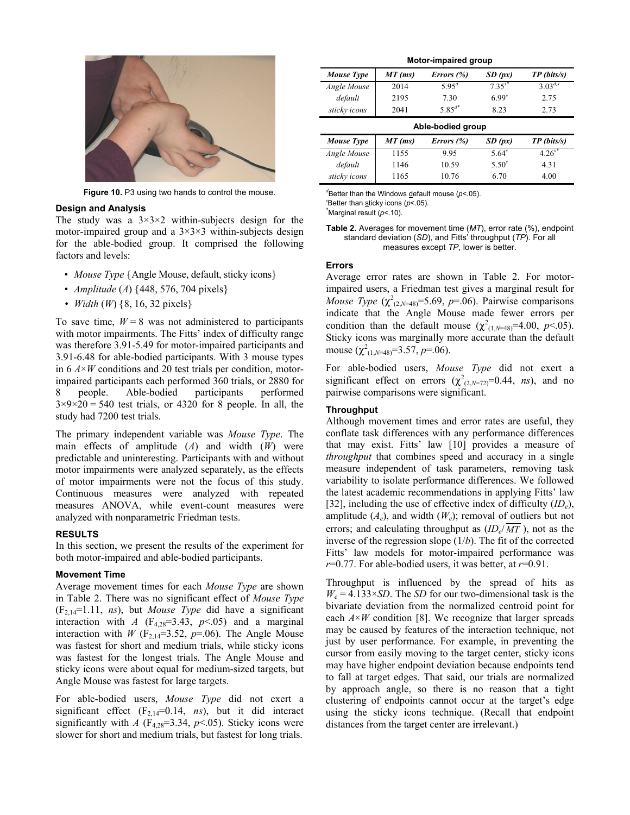

**Figure 10.** P3 using two hands to control the mouse.

#### **Design and Analysis**

The study was a  $3\times3\times2$  within-subjects design for the motor-impaired group and a  $3\times3\times3$  within-subjects design for the able-bodied group. It comprised the following factors and levels:

- *Mouse Type* {Angle Mouse, default, sticky icons}
- *Amplitude* (*A*) {448, 576, 704 pixels}
- *Width* (*W*) {8, 16, 32 pixels}

To save time,  $W = 8$  was not administered to participants with motor impairments. The Fitts' index of difficulty range was therefore 3.91-5.49 for motor-impaired participants and 3.91-6.48 for able-bodied participants. With 3 mouse types in 6 *A*×*W* conditions and 20 test trials per condition, motorimpaired participants each performed 360 trials, or 2880 for 8 people. Able-bodied participants performed  $3\times9\times20 = 540$  test trials, or 4320 for 8 people. In all, the study had 7200 test trials.

The primary independent variable was *Mouse Type*. The main effects of amplitude (*A*) and width (*W*) were predictable and uninteresting. Participants with and without motor impairments were analyzed separately, as the effects of motor impairments were not the focus of this study. Continuous measures were analyzed with repeated measures ANOVA, while event-count measures were analyzed with nonparametric Friedman tests.

#### **RESULTS**

In this section, we present the results of the experiment for both motor-impaired and able-bodied participants.

#### **Movement Time**

Average movement times for each *Mouse Type* are shown in Table 2. There was no significant effect of *Mouse Type* (F2,14=1.11, *ns*), but *Mouse Type* did have a significant interaction with *A* ( $F_{4,28} = 3.43$ ,  $p < .05$ ) and a marginal interaction with *W* ( $F_{2,14}$ =3.52, *p*=.06). The Angle Mouse was fastest for short and medium trials, while sticky icons was fastest for the longest trials. The Angle Mouse and sticky icons were about equal for medium-sized targets, but Angle Mouse was fastest for large targets.

For able-bodied users, *Mouse Type* did not exert a significant effect  $(F_{2,14}=0.14, ns)$ , but it did interact significantly with *A* ( $F_{4,28}$ =3.34,  $p$ <.05). Sticky icons were slower for short and medium trials, but fastest for long trials.

| Motor-impaired group |           |                   |             |                         |  |  |
|----------------------|-----------|-------------------|-------------|-------------------------|--|--|
| Mouse Type           | $MT$ (ms) | Errors $(\%)$     | SD (px)     | $TP \, (bits/s)$        |  |  |
| Angle Mouse          | 2014      | $5.95^{d}$        | $7.35^{s*}$ | $3.03^{d,\overline{s}}$ |  |  |
| default              | 2195      | 7.30              | $6.99^{s}$  | 2.75                    |  |  |
| sticky icons         | 2041      | $5.85^{d*}$       | 8.23        | 2.73                    |  |  |
|                      |           | Able-bodied group |             |                         |  |  |
| Mouse Type           | $MT$ (ms) | Errors $(\%)$     | SD (px)     | $TP \, (bits/s)$        |  |  |
|                      |           |                   |             |                         |  |  |
| Angle Mouse          | 1155      | 9.95              | $5.64^{s}$  | $4.26^{s*}$             |  |  |
| default              | 1146      | 10.59             | $5.50^{s}$  | 4.31                    |  |  |

*d* Better than the Windows default mouse (*p*<.05). *s* Better than sticky icons (*p*<.05).

\* Marginal result (*p*<.10).

**Table 2.** Averages for movement time (*MT*), error rate (%), endpoint standard deviation (*SD*), and Fitts' throughput (*TP*). For all measures except *TP*, lower is better.

#### **Errors**

Average error rates are shown in Table 2. For motorimpaired users, a Friedman test gives a marginal result for *Mouse Type*  $(\chi^2_{(2,N=48)}=5.69, p=.06)$ . Pairwise comparisons indicate that the Angle Mouse made fewer errors per condition than the default mouse  $(\chi^2_{(1,N=48)}=4.00, p<.05)$ . Sticky icons was marginally more accurate than the default mouse  $(\chi^2_{(1,N=48)}=3.57, p=.06)$ .

For able-bodied users, *Mouse Type* did not exert a significant effect on errors  $(\chi^2_{(2,N=72)}=0.44, ns)$ , and no pairwise comparisons were significant.

#### **Throughput**

Although movement times and error rates are useful, they conflate task differences with any performance differences that may exist. Fitts' law [10] provides a measure of *throughput* that combines speed and accuracy in a single measure independent of task parameters, removing task variability to isolate performance differences. We followed the latest academic recommendations in applying Fitts' law [32], including the use of effective index of difficulty (*IDe*), amplitude  $(A_e)$ , and width  $(W_e)$ ; removal of outliers but not errors; and calculating throughput as  $(ID_e/\overline{MT})$ , not as the inverse of the regression slope (1/*b*). The fit of the corrected Fitts' law models for motor-impaired performance was *r*=0.77. For able-bodied users, it was better, at *r*=0.91.

Throughput is influenced by the spread of hits as  $W_e = 4.133 \times SD$ . The *SD* for our two-dimensional task is the bivariate deviation from the normalized centroid point for each  $A \times W$  condition [8]. We recognize that larger spreads may be caused by features of the interaction technique, not just by user performance. For example, in preventing the cursor from easily moving to the target center, sticky icons may have higher endpoint deviation because endpoints tend to fall at target edges. That said, our trials are normalized by approach angle, so there is no reason that a tight clustering of endpoints cannot occur at the target's edge using the sticky icons technique. (Recall that endpoint distances from the target center are irrelevant.)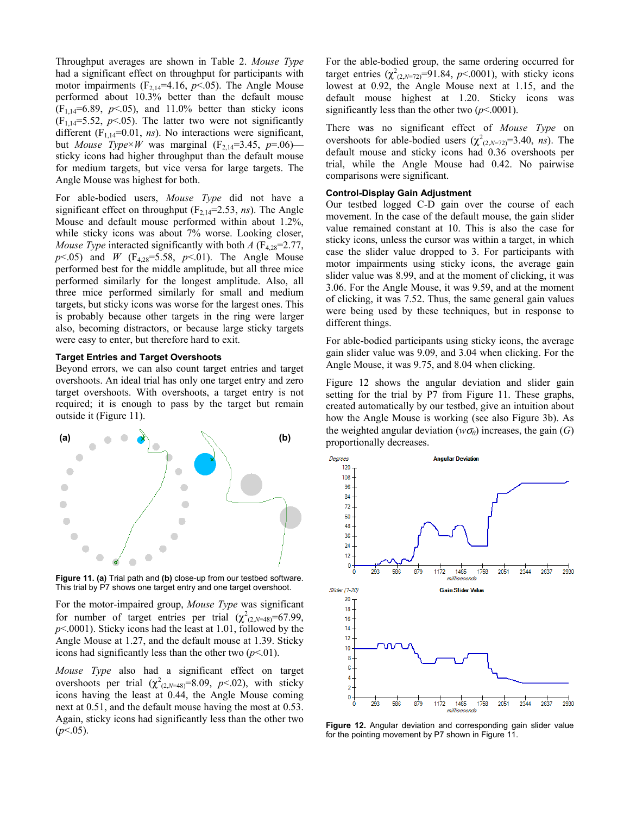Throughput averages are shown in Table 2. *Mouse Type* had a significant effect on throughput for participants with motor impairments  $(F_{2,14}=4.16, p<0.05)$ . The Angle Mouse performed about 10.3% better than the default mouse  $(F_{1,14}=6.89, p<0.05)$ , and 11.0% better than sticky icons  $(F_{1,14}=5.52, p<0.05)$ . The latter two were not significantly different  $(F_{1,14}=0.01, ns)$ . No interactions were significant, but *Mouse Type*×*W* was marginal ( $F_{2,14}$ =3.45, *p*=.06) sticky icons had higher throughput than the default mouse for medium targets, but vice versa for large targets. The Angle Mouse was highest for both.

For able-bodied users, *Mouse Type* did not have a significant effect on throughput  $(F_{2,14}=2.53, ns)$ . The Angle Mouse and default mouse performed within about 1.2%, while sticky icons was about 7% worse. Looking closer, *Mouse Type* interacted significantly with both  $A$  ( $F_{4,28}=2.77$ ,  $p$ <.05) and *W* (F<sub>4,28</sub>=5.58,  $p$ <.01). The Angle Mouse performed best for the middle amplitude, but all three mice performed similarly for the longest amplitude. Also, all three mice performed similarly for small and medium targets, but sticky icons was worse for the largest ones. This is probably because other targets in the ring were larger also, becoming distractors, or because large sticky targets were easy to enter, but therefore hard to exit.

## **Target Entries and Target Overshoots**

Beyond errors, we can also count target entries and target overshoots. An ideal trial has only one target entry and zero target overshoots. With overshoots, a target entry is not required; it is enough to pass by the target but remain outside it (Figure 11).



**Figure 11. (a)** Trial path and **(b)** close-up from our testbed software. This trial by P7 shows one target entry and one target overshoot.

For the motor-impaired group, *Mouse Type* was significant for number of target entries per trial  $(\chi^2_{(2,N=48)}=67.99)$ , *p*<.0001). Sticky icons had the least at 1.01, followed by the Angle Mouse at 1.27, and the default mouse at 1.39. Sticky icons had significantly less than the other two  $(p<.01)$ .

*Mouse Type* also had a significant effect on target overshoots per trial  $(\chi^2_{(2,N=48)}=8.09, p<.02)$ , with sticky icons having the least at 0.44, the Angle Mouse coming next at 0.51, and the default mouse having the most at 0.53. Again, sticky icons had significantly less than the other two  $(p<.05)$ .

For the able-bodied group, the same ordering occurred for target entries  $(\chi^2_{(2,N=72)}=91.84, p<.0001)$ , with sticky icons lowest at 0.92, the Angle Mouse next at 1.15, and the default mouse highest at 1.20. Sticky icons was significantly less than the other two  $(p< .0001)$ .

There was no significant effect of *Mouse Type* on overshoots for able-bodied users  $(\chi^2_{(2,N=72)}=3.40, ns)$ . The default mouse and sticky icons had 0.36 overshoots per trial, while the Angle Mouse had 0.42. No pairwise comparisons were significant.

## **Control-Display Gain Adjustment**

Our testbed logged C-D gain over the course of each movement. In the case of the default mouse, the gain slider value remained constant at 10. This is also the case for sticky icons, unless the cursor was within a target, in which case the slider value dropped to 3. For participants with motor impairments using sticky icons, the average gain slider value was 8.99, and at the moment of clicking, it was 3.06. For the Angle Mouse, it was 9.59, and at the moment of clicking, it was 7.52. Thus, the same general gain values were being used by these techniques, but in response to different things.

For able-bodied participants using sticky icons, the average gain slider value was 9.09, and 3.04 when clicking. For the Angle Mouse, it was 9.75, and 8.04 when clicking.

Figure 12 shows the angular deviation and slider gain setting for the trial by P7 from Figure 11. These graphs, created automatically by our testbed, give an intuition about how the Angle Mouse is working (see also Figure 3b). As the weighted angular deviation ( $w\sigma_\theta$ ) increases, the gain (*G*) proportionally decreases.



**Figure 12.** Angular deviation and corresponding gain slider value for the pointing movement by P7 shown in Figure 11.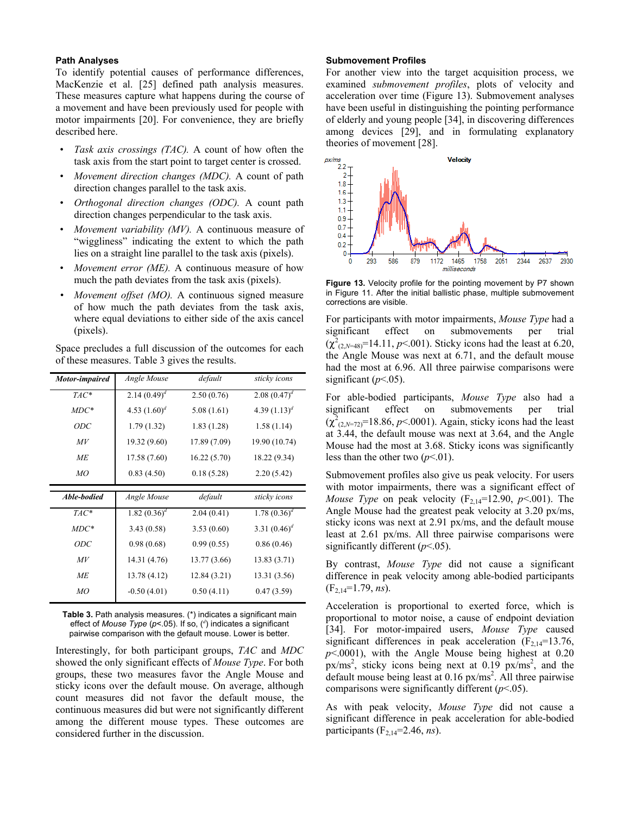## **Path Analyses**

To identify potential causes of performance differences, MacKenzie et al. [25] defined path analysis measures. These measures capture what happens during the course of a movement and have been previously used for people with motor impairments [20]. For convenience, they are briefly described here.

- *Task axis crossings (TAC).* A count of how often the task axis from the start point to target center is crossed.
- *Movement direction changes (MDC).* A count of path direction changes parallel to the task axis.
- *Orthogonal direction changes (ODC).* A count path direction changes perpendicular to the task axis.
- *Movement variability (MV).* A continuous measure of "wiggliness" indicating the extent to which the path lies on a straight line parallel to the task axis (pixels).
- *Movement error (ME).* A continuous measure of how much the path deviates from the task axis (pixels).
- *Movement offset (MO).* A continuous signed measure of how much the path deviates from the task axis, where equal deviations to either side of the axis cancel (pixels).

Space precludes a full discussion of the outcomes for each of these measures. Table 3 gives the results.

| Motor-impaired | Angle Mouse     | default      | sticky icons    |
|----------------|-----------------|--------------|-----------------|
| $TAC^*$        | 2.14 $(0.49)^d$ | 2.50(0.76)   | 2.08 $(0.47)^d$ |
| $MDC^*$        | 4.53 $(1.60)^d$ | 5.08(1.61)   | 4.39 $(1.13)^d$ |
| ODC            | 1.79(1.32)      | 1.83(1.28)   | 1.58(1.14)      |
| M V            | 19.32 (9.60)    | 17.89 (7.09) | 19.90 (10.74)   |
| МE             | 17.58 (7.60)    | 16.22(5.70)  | 18.22 (9.34)    |
| МO             | 0.83(4.50)      | 0.18(5.28)   | 2.20(5.42)      |
|                |                 |              |                 |
| Able-bodied    | Angle Mouse     | default      | sticky icons    |
| $TAC^*$        | 1.82 $(0.36)^d$ | 2.04(0.41)   | 1.78 $(0.36)^d$ |
| $MDC*$         | 3.43(0.58)      | 3.53(0.60)   | 3.31 $(0.46)^d$ |
| <i>ODC</i>     | 0.98(0.68)      | 0.99(0.55)   | 0.86(0.46)      |
| M V            | 14.31 (4.76)    | 13.77 (3.66) | 13.83 (3.71)    |
| МE             | 13.78 (4.12)    | 12.84(3.21)  | 13.31 (3.56)    |

**Table 3.** Path analysis measures. (\*) indicates a significant main effect of *Mouse Type* (*p*<.05). If so, (*<sup>d</sup>* ) indicates a significant pairwise comparison with the default mouse. Lower is better.

Interestingly, for both participant groups, *TAC* and *MDC* showed the only significant effects of *Mouse Type*. For both groups, these two measures favor the Angle Mouse and sticky icons over the default mouse. On average, although count measures did not favor the default mouse, the continuous measures did but were not significantly different among the different mouse types. These outcomes are considered further in the discussion.

#### **Submovement Profiles**

For another view into the target acquisition process, we examined *submovement profiles*, plots of velocity and acceleration over time (Figure 13). Submovement analyses have been useful in distinguishing the pointing performance of elderly and young people [34], in discovering differences among devices [29], and in formulating explanatory theories of movement [28].



Figure 13. Velocity profile for the pointing movement by P7 shown in Figure 11. After the initial ballistic phase, multiple submovement corrections are visible.

For participants with motor impairments, *Mouse Type* had a significant effect on submovements per trial  $(\chi^2_{(2,N=48)}$ =14.11, *p*<.001). Sticky icons had the least at 6.20, the Angle Mouse was next at 6.71, and the default mouse had the most at 6.96. All three pairwise comparisons were significant  $(p<.05)$ .

For able-bodied participants, *Mouse Type* also had a significant effect on submovements per trial  $(\chi^2_{(2,N=72)}=18.86, p<0.001)$ . Again, sticky icons had the least at 3.44, the default mouse was next at 3.64, and the Angle Mouse had the most at 3.68. Sticky icons was significantly less than the other two  $(p<.01)$ .

Submovement profiles also give us peak velocity. For users with motor impairments, there was a significant effect of *Mouse Type* on peak velocity  $(F_{2,14}=12.90, p<.001)$ . The Angle Mouse had the greatest peak velocity at 3.20 px/ms, sticky icons was next at 2.91 px/ms, and the default mouse least at 2.61 px/ms. All three pairwise comparisons were significantly different ( $p$ <.05).

By contrast, *Mouse Type* did not cause a significant difference in peak velocity among able-bodied participants (F2,14=1.79, *ns*).

Acceleration is proportional to exerted force, which is proportional to motor noise, a cause of endpoint deviation [34]. For motor-impaired users, *Mouse Type* caused significant differences in peak acceleration  $(F<sub>2,14</sub>=13.76)$ , *p*<.0001), with the Angle Mouse being highest at 0.20  $px/ms<sup>2</sup>$ , sticky icons being next at 0.19  $px/ms<sup>2</sup>$ , and the default mouse being least at 0.16 px/ms<sup>2</sup>. All three pairwise comparisons were significantly different (*p*<.05).

As with peak velocity, *Mouse Type* did not cause a significant difference in peak acceleration for able-bodied participants  $(F_{2,14}=2.46, ns)$ .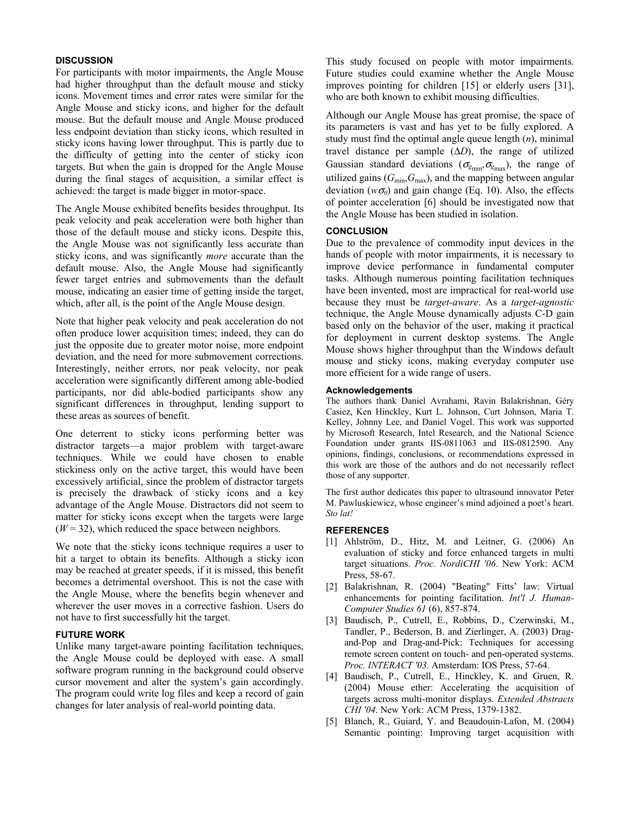## **DISCUSSION**

For participants with motor impairments, the Angle Mouse had higher throughput than the default mouse and sticky icons. Movement times and error rates were similar for the Angle Mouse and sticky icons, and higher for the default mouse. But the default mouse and Angle Mouse produced less endpoint deviation than sticky icons, which resulted in sticky icons having lower throughput. This is partly due to the difficulty of getting into the center of sticky icon targets. But when the gain is dropped for the Angle Mouse during the final stages of acquisition, a similar effect is achieved: the target is made bigger in motor-space.

The Angle Mouse exhibited benefits besides throughput. Its peak velocity and peak acceleration were both higher than those of the default mouse and sticky icons. Despite this, the Angle Mouse was not significantly less accurate than sticky icons, and was significantly *more* accurate than the default mouse. Also, the Angle Mouse had significantly fewer target entries and submovements than the default mouse, indicating an easier time of getting inside the target, which, after all, is the point of the Angle Mouse design.

Note that higher peak velocity and peak acceleration do not often produce lower acquisition times; indeed, they can do just the opposite due to greater motor noise, more endpoint deviation, and the need for more submovement corrections. Interestingly, neither errors, nor peak velocity, nor peak acceleration were significantly different among able-bodied participants, nor did able-bodied participants show any significant differences in throughput, lending support to these areas as sources of benefit.

One deterrent to sticky icons performing better was distractor targets—a major problem with target-aware techniques. While we could have chosen to enable stickiness only on the active target, this would have been excessively artificial, since the problem of distractor targets is precisely the drawback of sticky icons and a key advantage of the Angle Mouse. Distractors did not seem to matter for sticky icons except when the targets were large  $(W = 32)$ , which reduced the space between neighbors.

We note that the sticky icons technique requires a user to hit a target to obtain its benefits. Although a sticky icon may be reached at greater speeds, if it is missed, this benefit becomes a detrimental overshoot. This is not the case with the Angle Mouse, where the benefits begin whenever and wherever the user moves in a corrective fashion. Users do not have to first successfully hit the target.

#### **FUTURE WORK**

Unlike many target-aware pointing facilitation techniques, the Angle Mouse could be deployed with ease. A small software program running in the background could observe cursor movement and alter the system's gain accordingly. The program could write log files and keep a record of gain changes for later analysis of real-world pointing data.

This study focused on people with motor impairments. Future studies could examine whether the Angle Mouse improves pointing for children [15] or elderly users [31], who are both known to exhibit mousing difficulties.

Although our Angle Mouse has great promise, the space of its parameters is vast and has yet to be fully explored. A study must find the optimal angle queue length (*n*), minimal travel distance per sample (Δ*D*), the range of utilized Gaussian standard deviations ( $\sigma_{g_{min}}, \sigma_{g_{max}}$ ), the range of utilized gains  $(G_{min}, G_{max})$ , and the mapping between angular deviation ( $w\sigma$ <sup> $\theta$ </sup>) and gain change (Eq. 10). Also, the effects of pointer acceleration [6] should be investigated now that the Angle Mouse has been studied in isolation.

## **CONCLUSION**

Due to the prevalence of commodity input devices in the hands of people with motor impairments, it is necessary to improve device performance in fundamental computer tasks. Although numerous pointing facilitation techniques have been invented, most are impractical for real-world use because they must be *target-aware*. As a *target-agnostic* technique, the Angle Mouse dynamically adjusts C-D gain based only on the behavior of the user, making it practical for deployment in current desktop systems. The Angle Mouse shows higher throughput than the Windows default mouse and sticky icons, making everyday computer use more efficient for a wide range of users.

#### **Acknowledgements**

The authors thank Daniel Avrahami, Ravin Balakrishnan, Géry Casiez, Ken Hinckley, Kurt L. Johnson, Curt Johnson, Maria T. Kelley, Johnny Lee, and Daniel Vogel. This work was supported by Microsoft Research, Intel Research, and the National Science Foundation under grants IIS-0811063 and IIS-0812590. Any opinions, findings, conclusions, or recommendations expressed in this work are those of the authors and do not necessarily reflect those of any supporter.

The first author dedicates this paper to ultrasound innovator Peter M. Pawluskiewicz, whose engineer's mind adjoined a poet's heart. *Sto lat!*

# **REFERENCES**

- [1] Ahlström, D., Hitz, M. and Leitner, G. (2006) An evaluation of sticky and force enhanced targets in multi target situations. *Proc. NordiCHI '06*. New York: ACM Press, 58-67.
- [2] Balakrishnan, R. (2004) "Beating" Fitts' law: Virtual enhancements for pointing facilitation. *Int'l J. Human-Computer Studies 61* (6), 857-874.
- [3] Baudisch, P., Cutrell, E., Robbins, D., Czerwinski, M., Tandler, P., Bederson, B. and Zierlinger, A. (2003) Dragand-Pop and Drag-and-Pick: Techniques for accessing remote screen content on touch- and pen-operated systems. *Proc. INTERACT '03*. Amsterdam: IOS Press, 57-64.
- [4] Baudisch, P., Cutrell, E., Hinckley, K. and Gruen, R. (2004) Mouse ether: Accelerating the acquisition of targets across multi-monitor displays. *Extended Abstracts CHI '04*. New York: ACM Press, 1379-1382.
- [5] Blanch, R., Guiard, Y. and Beaudouin-Lafon, M. (2004) Semantic pointing: Improving target acquisition with